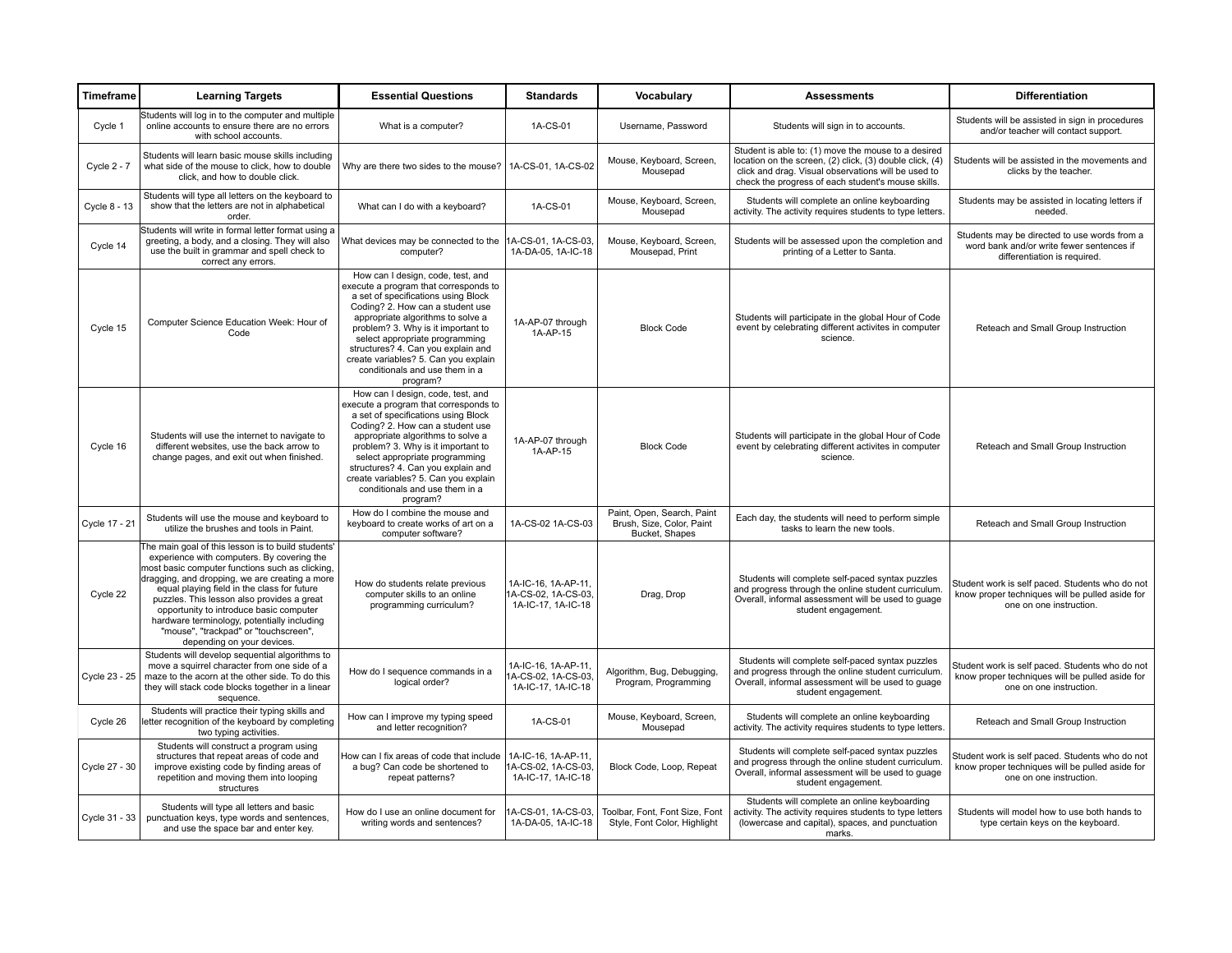| Timeframe     | <b>Learning Targets</b>                                                                                                                                                                                                                                                                                                                                                                                                                                             | <b>Essential Questions</b>                                                                                                                                                                                                                                                                                                                                                                     | <b>Standards</b>                                                 | Vocabulary                                                                | <b>Assessments</b>                                                                                                                                                                                                           | <b>Differentiation</b>                                                                                                        |
|---------------|---------------------------------------------------------------------------------------------------------------------------------------------------------------------------------------------------------------------------------------------------------------------------------------------------------------------------------------------------------------------------------------------------------------------------------------------------------------------|------------------------------------------------------------------------------------------------------------------------------------------------------------------------------------------------------------------------------------------------------------------------------------------------------------------------------------------------------------------------------------------------|------------------------------------------------------------------|---------------------------------------------------------------------------|------------------------------------------------------------------------------------------------------------------------------------------------------------------------------------------------------------------------------|-------------------------------------------------------------------------------------------------------------------------------|
| Cycle 1       | Students will log in to the computer and multiple<br>online accounts to ensure there are no errors<br>with school accounts.                                                                                                                                                                                                                                                                                                                                         | What is a computer?                                                                                                                                                                                                                                                                                                                                                                            | 1A-CS-01                                                         | Username, Password                                                        | Students will sign in to accounts.                                                                                                                                                                                           | Students will be assisted in sign in procedures<br>and/or teacher will contact support.                                       |
| Cycle $2 - 7$ | Students will learn basic mouse skills including<br>what side of the mouse to click, how to double<br>click, and how to double click.                                                                                                                                                                                                                                                                                                                               | Why are there two sides to the mouse?   1A-CS-01, 1A-CS-02                                                                                                                                                                                                                                                                                                                                     |                                                                  | Mouse, Keyboard, Screen,<br>Mousepad                                      | Student is able to: (1) move the mouse to a desired<br>location on the screen, (2) click, (3) double click, (4)<br>click and drag. Visual observations will be used to<br>check the progress of each student's mouse skills. | Students will be assisted in the movements and<br>clicks by the teacher.                                                      |
| Cycle 8 - 13  | Students will type all letters on the keyboard to<br>show that the letters are not in alphabetical<br>order.                                                                                                                                                                                                                                                                                                                                                        | What can I do with a keyboard?                                                                                                                                                                                                                                                                                                                                                                 | 1A-CS-01                                                         | Mouse, Keyboard, Screen,<br>Mousepad                                      | Students will complete an online keyboarding<br>activity. The activity requires students to type letters.                                                                                                                    | Students may be assisted in locating letters if<br>needed.                                                                    |
| Cycle 14      | Students will write in formal letter format using a<br>greeting, a body, and a closing. They will also<br>use the built in grammar and spell check to<br>correct any errors.                                                                                                                                                                                                                                                                                        | What devices may be connected to the<br>computer?                                                                                                                                                                                                                                                                                                                                              | 1A-CS-01, 1A-CS-03,<br>1A-DA-05, 1A-IC-18                        | Mouse, Keyboard, Screen,<br>Mousepad, Print                               | Students will be assessed upon the completion and<br>printing of a Letter to Santa.                                                                                                                                          | Students may be directed to use words from a<br>word bank and/or write fewer sentences if<br>differentiation is required.     |
| Cycle 15      | Computer Science Education Week: Hour of<br>Code                                                                                                                                                                                                                                                                                                                                                                                                                    | How can I design, code, test, and<br>execute a program that corresponds to<br>a set of specifications using Block<br>Coding? 2. How can a student use<br>appropriate algorithms to solve a<br>problem? 3. Why is it important to<br>select appropriate programming<br>structures? 4. Can you explain and<br>create variables? 5. Can you explain<br>conditionals and use them in a<br>program? | 1A-AP-07 through<br>1A-AP-15                                     | <b>Block Code</b>                                                         | Students will participate in the global Hour of Code<br>event by celebrating different activites in computer<br>science.                                                                                                     | Reteach and Small Group Instruction                                                                                           |
| Cycle 16      | Students will use the internet to navigate to<br>different websites, use the back arrow to<br>change pages, and exit out when finished.                                                                                                                                                                                                                                                                                                                             | How can I design, code, test, and<br>execute a program that corresponds to<br>a set of specifications using Block<br>Coding? 2. How can a student use<br>appropriate algorithms to solve a<br>problem? 3. Why is it important to<br>select appropriate programming<br>structures? 4. Can you explain and<br>create variables? 5. Can you explain<br>conditionals and use them in a<br>program? | 1A-AP-07 through<br>1A-AP-15                                     | <b>Block Code</b>                                                         | Students will participate in the global Hour of Code<br>event by celebrating different activites in computer<br>science.                                                                                                     | Reteach and Small Group Instruction                                                                                           |
| Cycle 17 - 21 | Students will use the mouse and keyboard to<br>utilize the brushes and tools in Paint.                                                                                                                                                                                                                                                                                                                                                                              | How do I combine the mouse and<br>keyboard to create works of art on a<br>computer software?                                                                                                                                                                                                                                                                                                   | 1A-CS-02 1A-CS-03                                                | Paint, Open, Search, Paint<br>Brush, Size, Color, Paint<br>Bucket, Shapes | Each day, the students will need to perform simple<br>tasks to learn the new tools.                                                                                                                                          | Reteach and Small Group Instruction                                                                                           |
| Cycle 22      | The main goal of this lesson is to build students'<br>experience with computers. By covering the<br>most basic computer functions such as clicking.<br>dragging, and dropping, we are creating a more<br>equal playing field in the class for future<br>puzzles. This lesson also provides a great<br>opportunity to introduce basic computer<br>hardware terminology, potentially including<br>"mouse", "trackpad" or "touchscreen",<br>depending on your devices. | How do students relate previous<br>computer skills to an online<br>programming curriculum?                                                                                                                                                                                                                                                                                                     | 1A-IC-16, 1A-AP-11,<br>1A-CS-02, 1A-CS-03,<br>1A-IC-17, 1A-IC-18 | Drag, Drop                                                                | Students will complete self-paced syntax puzzles<br>and progress through the online student curriculum.<br>Overall, informal assessment will be used to guage<br>student engagement.                                         | Student work is self paced. Students who do not<br>know proper techniques will be pulled aside for<br>one on one instruction. |
| Cycle 23 - 25 | Students will develop sequential algorithms to<br>move a squirrel character from one side of a<br>maze to the acorn at the other side. To do this<br>they will stack code blocks together in a linear<br>sequence.                                                                                                                                                                                                                                                  | How do I sequence commands in a<br>logical order?                                                                                                                                                                                                                                                                                                                                              | 1A-IC-16, 1A-AP-11,<br>1A-CS-02, 1A-CS-03.<br>1A-IC-17, 1A-IC-18 | Algorithm, Bug, Debugging,<br>Program, Programming                        | Students will complete self-paced syntax puzzles<br>and progress through the online student curriculum.<br>Overall, informal assessment will be used to guage<br>student engagement.                                         | Student work is self paced. Students who do not<br>know proper techniques will be pulled aside for<br>one on one instruction. |
| Cycle 26      | Students will practice their typing skills and<br>letter recognition of the keyboard by completing<br>two typing activities.                                                                                                                                                                                                                                                                                                                                        | How can I improve my typing speed<br>and letter recognition?                                                                                                                                                                                                                                                                                                                                   | 1A-CS-01                                                         | Mouse, Keyboard, Screen,<br>Mousepad                                      | Students will complete an online keyboarding<br>activity. The activity requires students to type letters.                                                                                                                    | Reteach and Small Group Instruction                                                                                           |
| Cycle 27 - 30 | Students will construct a program using<br>structures that repeat areas of code and<br>improve existing code by finding areas of<br>repetition and moving them into looping<br>structures                                                                                                                                                                                                                                                                           | How can I fix areas of code that include<br>a bug? Can code be shortened to<br>repeat patterns?                                                                                                                                                                                                                                                                                                | 1A-IC-16, 1A-AP-11,<br>1A-CS-02, 1A-CS-03,<br>1A-IC-17, 1A-IC-18 | Block Code, Loop, Repeat                                                  | Students will complete self-paced syntax puzzles<br>and progress through the online student curriculum.<br>Overall, informal assessment will be used to guage<br>student engagement.                                         | Student work is self paced. Students who do not<br>know proper techniques will be pulled aside for<br>one on one instruction. |
| Cycle 31 - 33 | Students will type all letters and basic<br>punctuation keys, type words and sentences,<br>and use the space bar and enter key.                                                                                                                                                                                                                                                                                                                                     | How do I use an online document for<br>writing words and sentences?                                                                                                                                                                                                                                                                                                                            | 1A-CS-01, 1A-CS-03,<br>1A-DA-05, 1A-IC-18                        | Toolbar, Font, Font Size, Font<br>Style, Font Color, Highlight            | Students will complete an online keyboarding<br>activity. The activity requires students to type letters<br>(lowercase and capital), spaces, and punctuation<br>marks.                                                       | Students will model how to use both hands to<br>type certain keys on the keyboard.                                            |